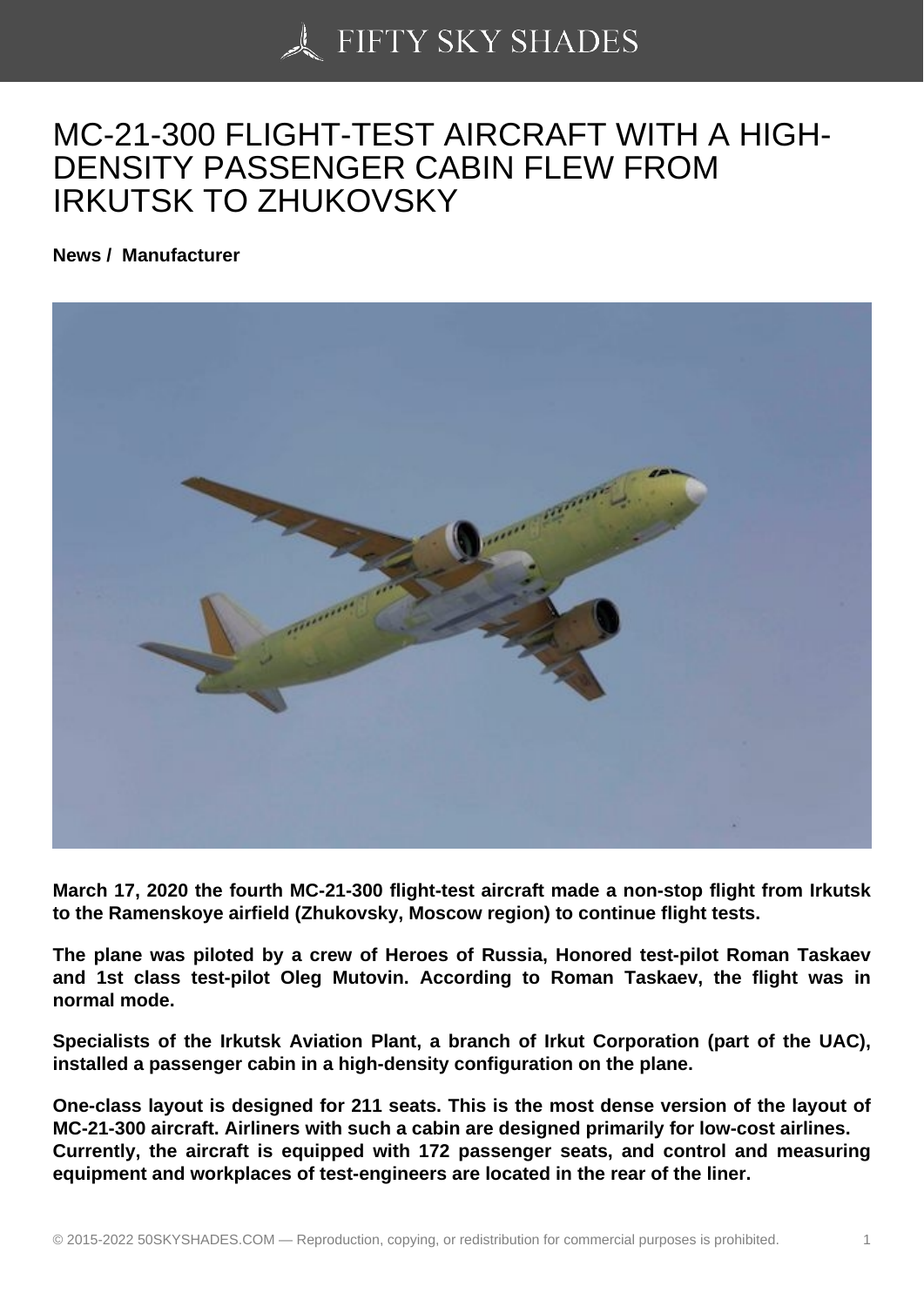## [MC-21-300 FLIGHT-TE](https://50skyshades.com)ST AIRCRAFT WITH A HIGH-DENSITY PASSENGER CABIN FLEW FROM IRKUTSK TO ZHUKOVSKY

News / Manufacturer

March 17, 2020 the fourth MC-21-300 flight-test aircraft made a non-stop flight from Irkutsk to the Ramenskoye airfield (Zhukovsky, Moscow region) to continue flight tests.

The plane was piloted by a crew of Heroes of Russia, Honored test-pilot Roman Taskaev and 1st class test-pilot Oleg Mutovin. According to Roman Taskaev, the flight was in normal mode.

Specialists of the Irkutsk Aviation Plant, a branch of Irkut Corporation (part of the UAC), installed a passenger cabin in a high-density configuration on the plane.

One-class layout is designed for 211 seats. This is the most dense version of the layout of MC-21-300 aircraft. Airliners with such a cabin are designed primarily for low-cost airlines. Currently, the aircraft is equipped with 172 passenger seats, and control and measuring equipment and workplaces of test-engineers are located in the rear of the liner.